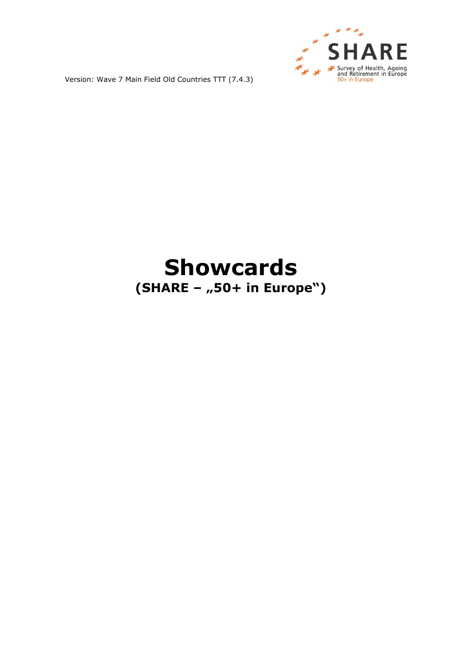

## **Showcards (SHARE – "50+ in Europe")**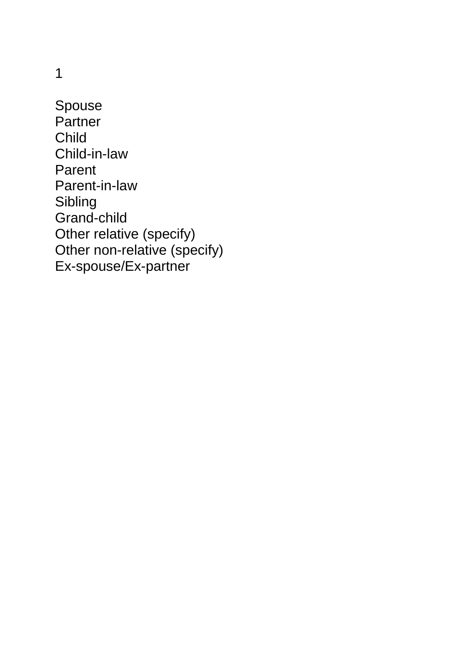Spouse **Partner** Child Child-in-law Parent Parent-in-law Sibling Grand-child Other relative (specify) Other non-relative (specify) Ex-spouse/Ex-partner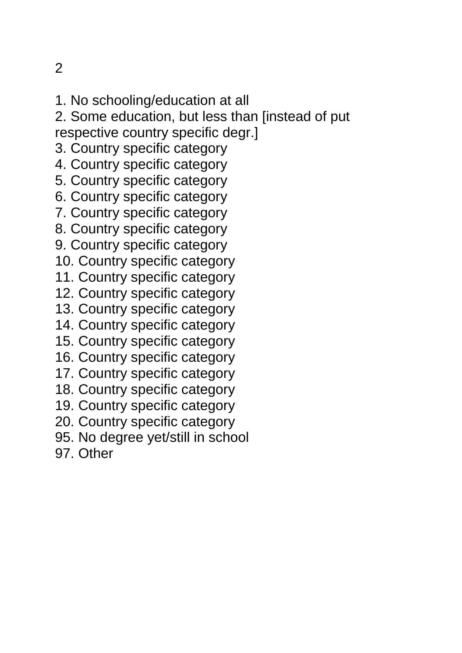- 1. No schooling/education at all
- 2. Some education, but less than [instead of put respective country specific degr.]
- 3. Country specific category
- 4. Country specific category
- 5. Country specific category
- 6. Country specific category
- 7. Country specific category
- 8. Country specific category
- 9. Country specific category
- 10. Country specific category
- 11. Country specific category
- 12. Country specific category
- 13. Country specific category
- 14. Country specific category
- 15. Country specific category
- 16. Country specific category
- 17. Country specific category
- 18. Country specific category
- 19. Country specific category
- 20. Country specific category
- 95. No degree yet/still in school
- 97. Other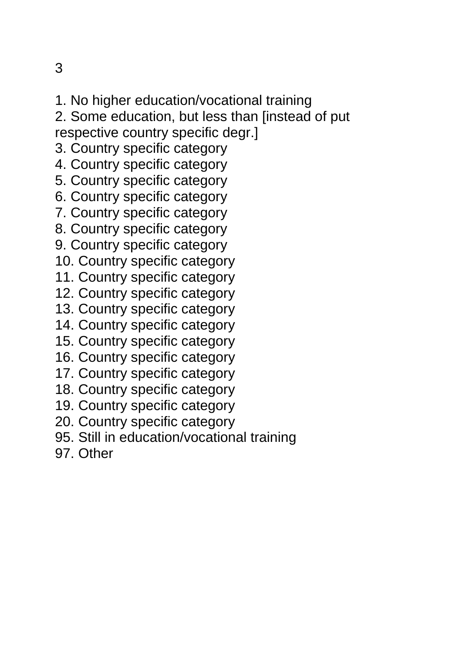- 1. No higher education/vocational training
- 2. Some education, but less than [instead of put respective country specific degr.]
- 3. Country specific category
- 4. Country specific category
- 5. Country specific category
- 6. Country specific category
- 7. Country specific category
- 8. Country specific category
- 9. Country specific category
- 10. Country specific category
- 11. Country specific category
- 12. Country specific category
- 13. Country specific category
- 14. Country specific category
- 15. Country specific category
- 16. Country specific category
- 17. Country specific category
- 18. Country specific category
- 19. Country specific category
- 20. Country specific category
- 95. Still in education/vocational training
- 97. Other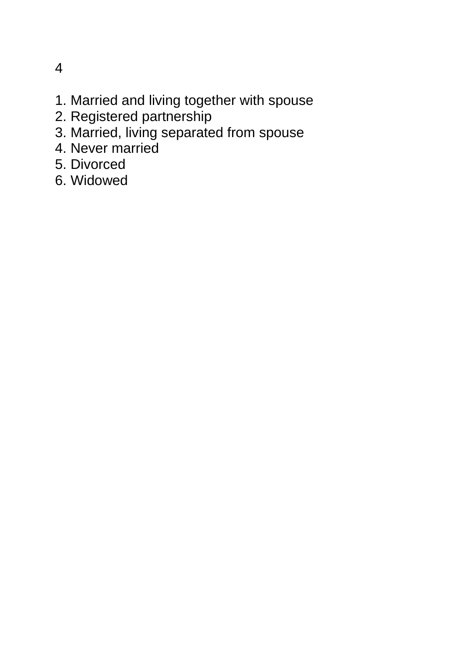- 4
- 1. Married and living together with spouse
- 2. Registered partnership
- 3. Married, living separated from spouse
- 4. Never married
- 5. Divorced
- 6. Widowed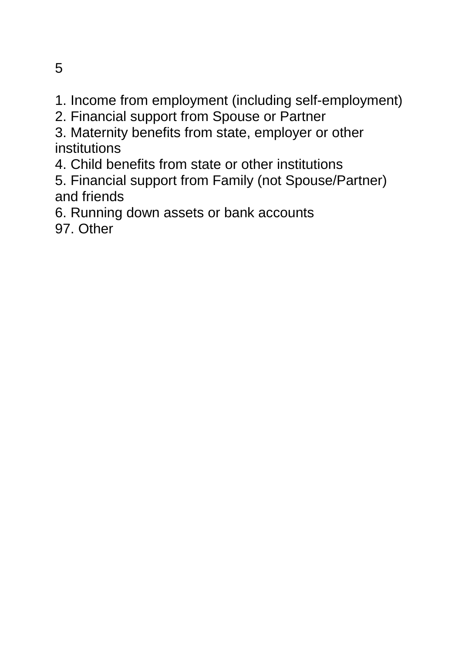- 1. Income from employment (including self-employment)
- 2. Financial support from Spouse or Partner

3. Maternity benefits from state, employer or other institutions

4. Child benefits from state or other institutions

5. Financial support from Family (not Spouse/Partner) and friends

6. Running down assets or bank accounts

97. Other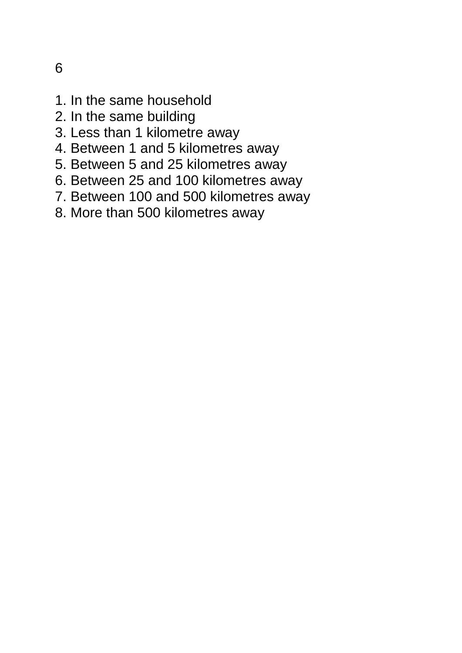- 1. In the same household
- 2. In the same building
- 3. Less than 1 kilometre away
- 4. Between 1 and 5 kilometres away
- 5. Between 5 and 25 kilometres away
- 6. Between 25 and 100 kilometres away
- 7. Between 100 and 500 kilometres away
- 8. More than 500 kilometres away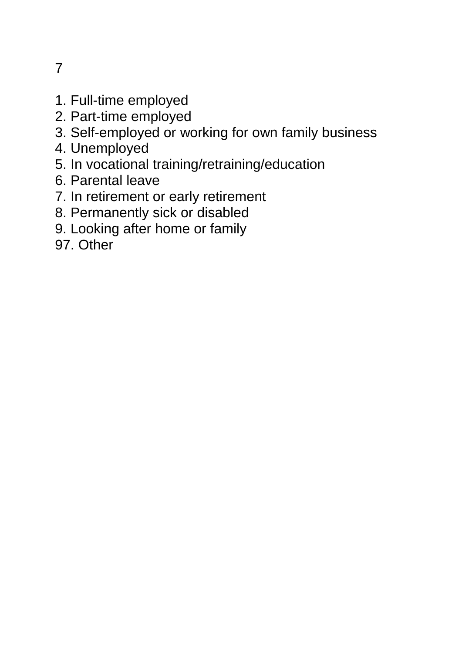- 1. Full-time employed
- 2. Part-time employed
- 3. Self-employed or working for own family business
- 4. Unemployed
- 5. In vocational training/retraining/education
- 6. Parental leave
- 7. In retirement or early retirement
- 8. Permanently sick or disabled
- 9. Looking after home or family
- 97. Other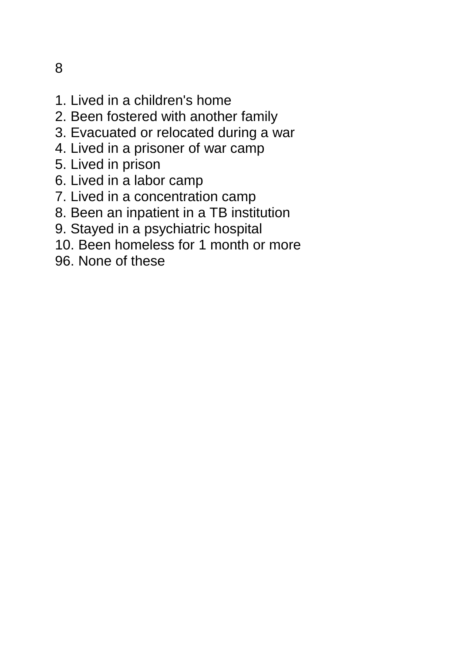- 1. Lived in a children's home
- 2. Been fostered with another family
- 3. Evacuated or relocated during a war
- 4. Lived in a prisoner of war camp
- 5. Lived in prison
- 6. Lived in a labor camp
- 7. Lived in a concentration camp
- 8. Been an inpatient in a TB institution
- 9. Stayed in a psychiatric hospital
- 10. Been homeless for 1 month or more
- 96. None of these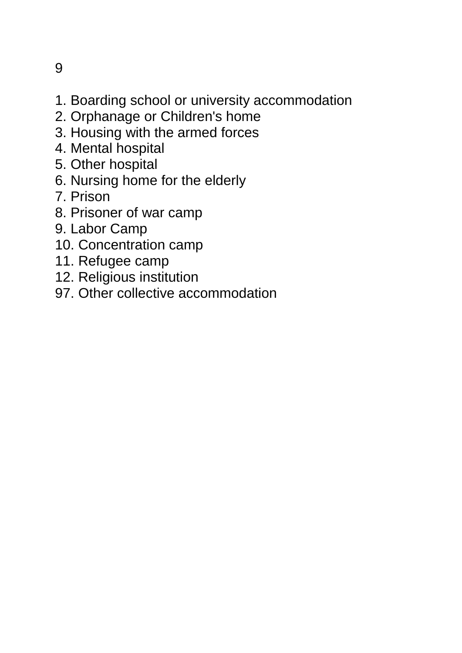- 1. Boarding school or university accommodation
- 2. Orphanage or Children's home
- 3. Housing with the armed forces
- 4. Mental hospital
- 5. Other hospital
- 6. Nursing home for the elderly
- 7. Prison
- 8. Prisoner of war camp
- 9. Labor Camp
- 10. Concentration camp
- 11. Refugee camp
- 12. Religious institution
- 97. Other collective accommodation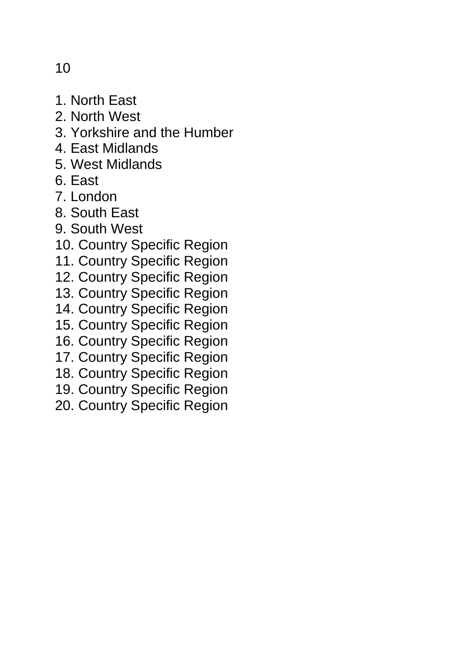- 1. North East
- 2. North West
- 3. Yorkshire and the Humber
- 4. East Midlands
- 5. West Midlands
- 6. East
- 7. London
- 8. South East
- 9. South West
- 10. Country Specific Region
- 11. Country Specific Region
- 12. Country Specific Region
- 13. Country Specific Region
- 14. Country Specific Region
- 15. Country Specific Region
- 16. Country Specific Region
- 17. Country Specific Region
- 18. Country Specific Region
- 19. Country Specific Region
- 20. Country Specific Region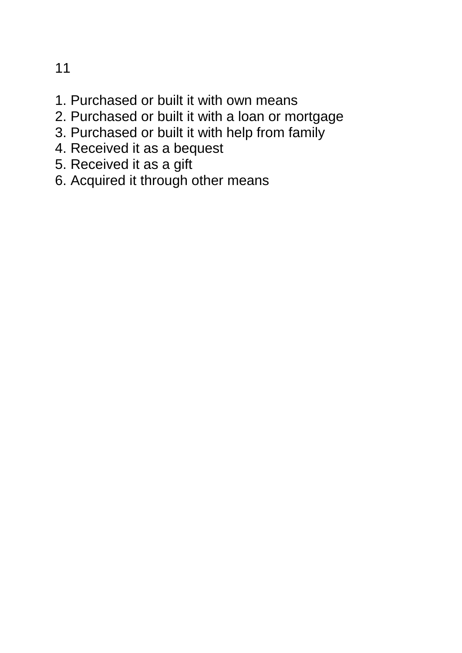- 1. Purchased or built it with own means
- 2. Purchased or built it with a loan or mortgage
- 3. Purchased or built it with help from family
- 4. Received it as a bequest
- 5. Received it as a gift
- 6. Acquired it through other means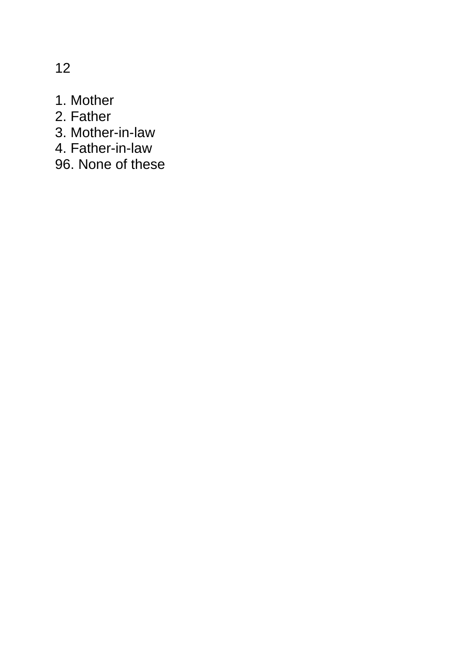- 1. Mother
- 2. Father
- 3. Mother-in-law
- 4. Father-in-law
- 96. None of these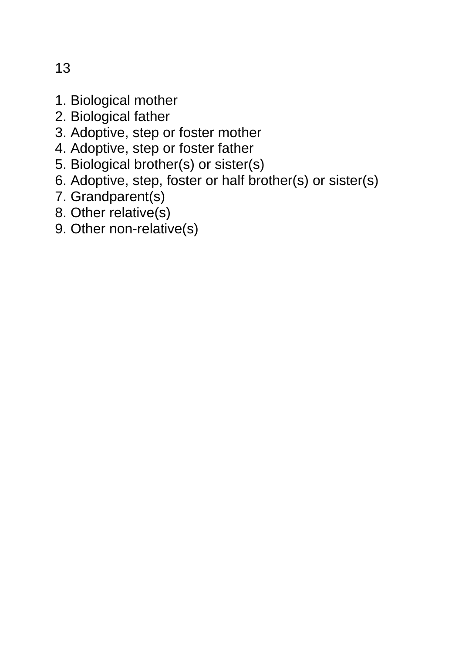- 1. Biological mother
- 2. Biological father
- 3. Adoptive, step or foster mother
- 4. Adoptive, step or foster father
- 5. Biological brother(s) or sister(s)
- 6. Adoptive, step, foster or half brother(s) or sister(s)
- 7. Grandparent(s)
- 8. Other relative(s)
- 9. Other non-relative(s)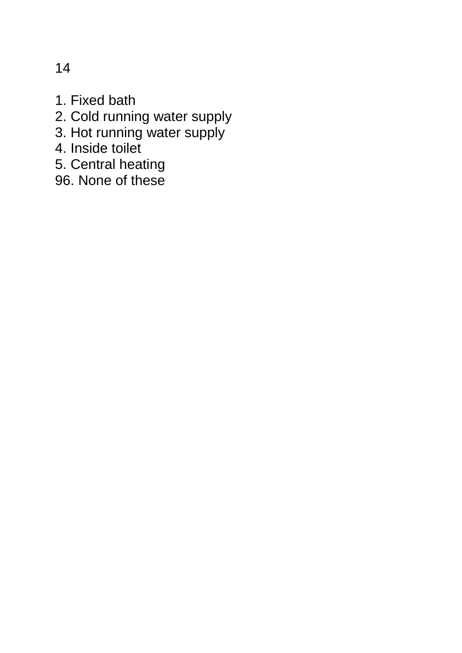- 1. Fixed bath
- 2. Cold running water supply
- 3. Hot running water supply
- 4. Inside toilet
- 5. Central heating
- 96. None of these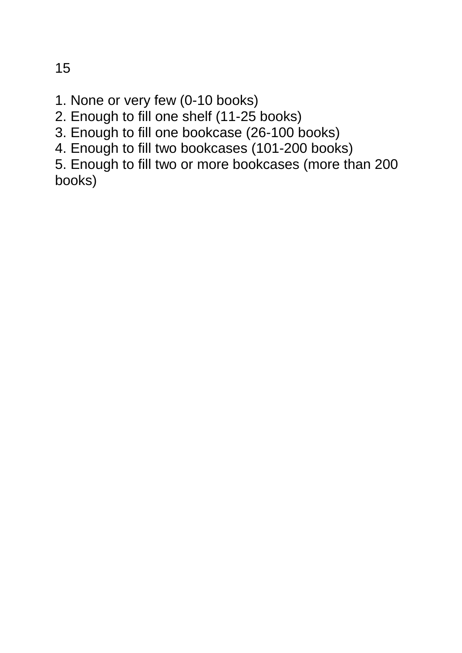- 1. None or very few (0-10 books)
- 2. Enough to fill one shelf (11-25 books)
- 3. Enough to fill one bookcase (26-100 books)
- 4. Enough to fill two bookcases (101-200 books)

5. Enough to fill two or more bookcases (more than 200 books)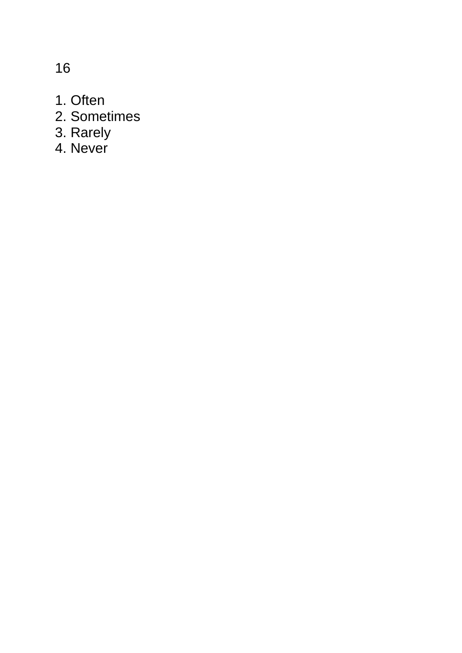- 1. Often
- 2. Sometimes
- 3. Rarely
- 4. Never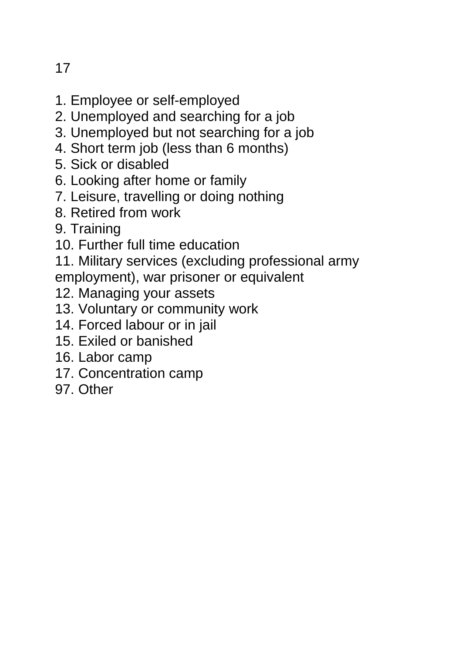- 1. Employee or self-employed
- 2. Unemployed and searching for a job
- 3. Unemployed but not searching for a job
- 4. Short term job (less than 6 months)
- 5. Sick or disabled
- 6. Looking after home or family
- 7. Leisure, travelling or doing nothing
- 8. Retired from work
- 9. Training
- 10. Further full time education

11. Military services (excluding professional army employment), war prisoner or equivalent

- 12. Managing your assets
- 13. Voluntary or community work
- 14. Forced labour or in jail
- 15. Exiled or banished
- 16. Labor camp
- 17. Concentration camp
- 97. Other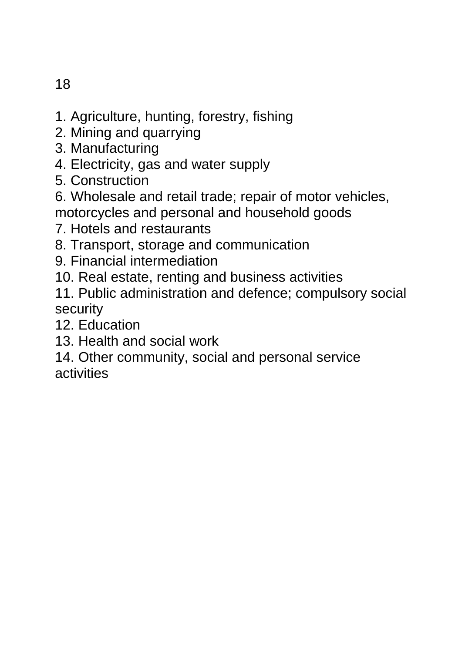- 1. Agriculture, hunting, forestry, fishing
- 2. Mining and quarrying
- 3. Manufacturing
- 4. Electricity, gas and water supply
- 5. Construction
- 6. Wholesale and retail trade; repair of motor vehicles,
- motorcycles and personal and household goods
- 7. Hotels and restaurants
- 8. Transport, storage and communication
- 9. Financial intermediation
- 10. Real estate, renting and business activities
- 11. Public administration and defence; compulsory social security
- 12. Education
- 13. Health and social work
- 14. Other community, social and personal service activities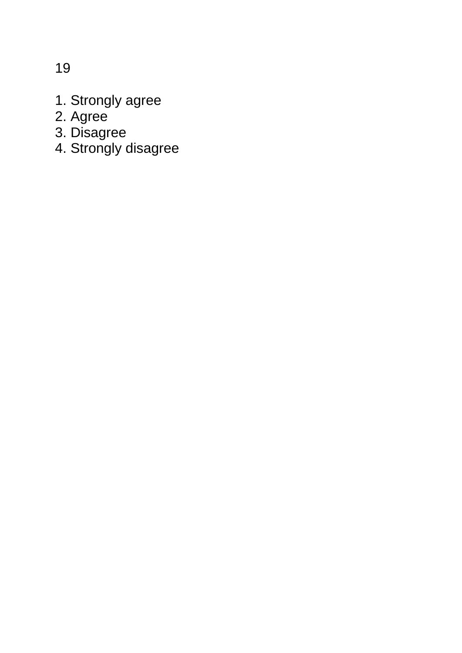- 1. Strongly agree
- 2. Agree
- 3. Disagree
- 4. Strongly disagree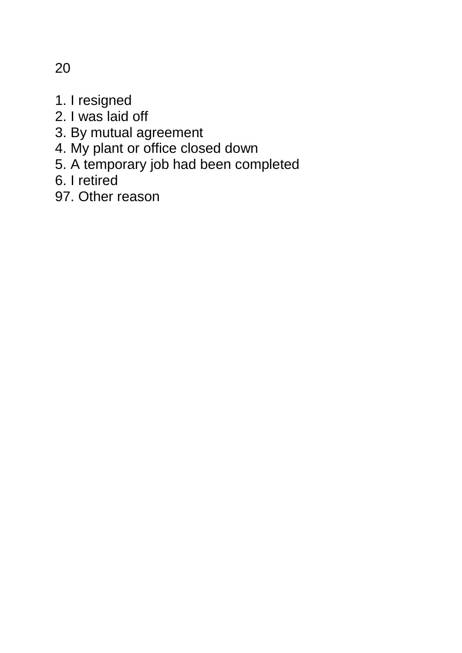- 1. I resigned
- 2. I was laid off
- 3. By mutual agreement
- 4. My plant or office closed down
- 5. A temporary job had been completed
- 6. I retired
- 97. Other reason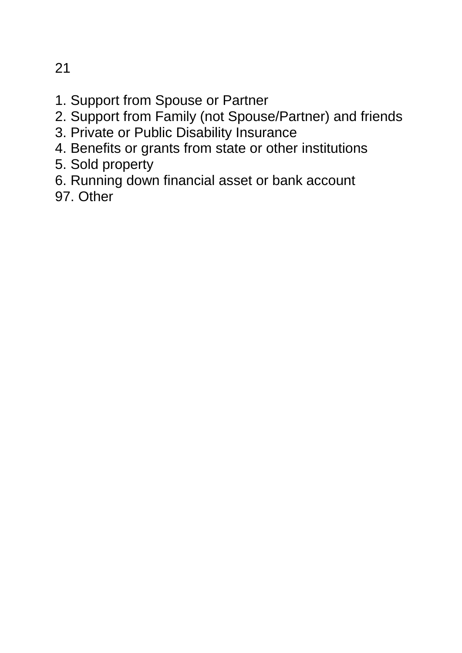- 1. Support from Spouse or Partner
- 2. Support from Family (not Spouse/Partner) and friends
- 3. Private or Public Disability Insurance
- 4. Benefits or grants from state or other institutions
- 5. Sold property
- 6. Running down financial asset or bank account
- 97. Other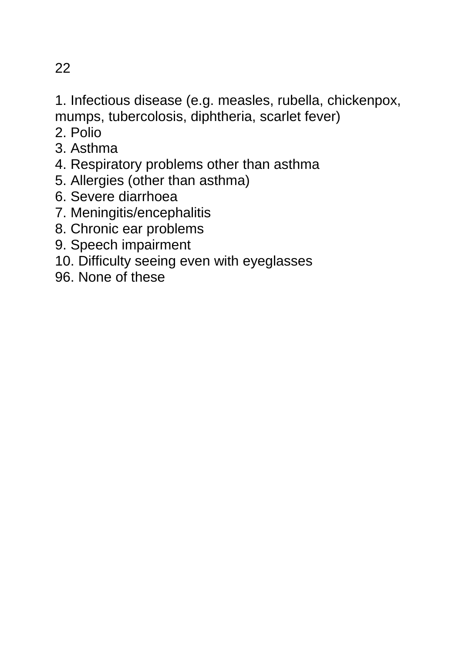1. Infectious disease (e.g. measles, rubella, chickenpox, mumps, tubercolosis, diphtheria, scarlet fever)

- 2. Polio
- 3. Asthma
- 4. Respiratory problems other than asthma
- 5. Allergies (other than asthma)
- 6. Severe diarrhoea
- 7. Meningitis/encephalitis
- 8. Chronic ear problems
- 9. Speech impairment
- 10. Difficulty seeing even with eyeglasses
- 96. None of these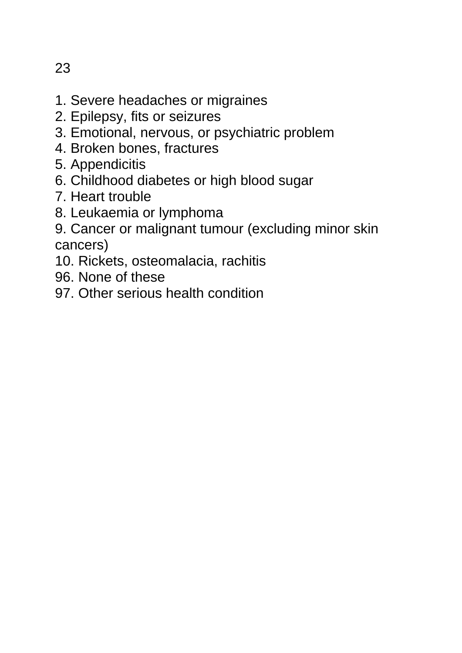- 23
- 1. Severe headaches or migraines
- 2. Epilepsy, fits or seizures
- 3. Emotional, nervous, or psychiatric problem
- 4. Broken bones, fractures
- 5. Appendicitis
- 6. Childhood diabetes or high blood sugar
- 7. Heart trouble
- 8. Leukaemia or lymphoma
- 9. Cancer or malignant tumour (excluding minor skin cancers)
- 10. Rickets, osteomalacia, rachitis
- 96. None of these
- 97. Other serious health condition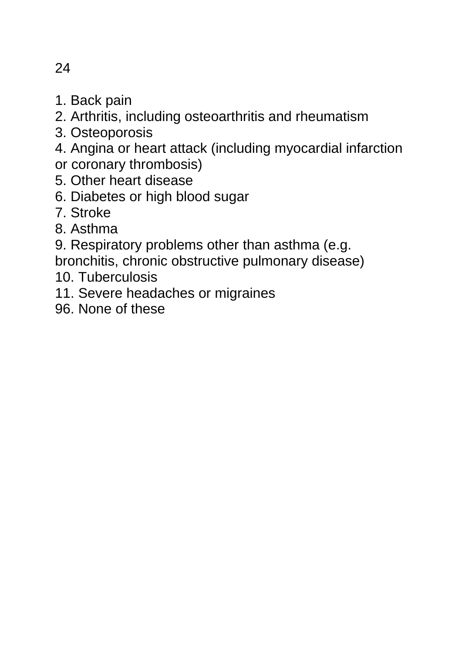- 1. Back pain
- 2. Arthritis, including osteoarthritis and rheumatism
- 3. Osteoporosis
- 4. Angina or heart attack (including myocardial infarction
- or coronary thrombosis)
- 5. Other heart disease
- 6. Diabetes or high blood sugar
- 7. Stroke
- 8. Asthma
- 9. Respiratory problems other than asthma (e.g.
- bronchitis, chronic obstructive pulmonary disease)
- 10. Tuberculosis
- 11. Severe headaches or migraines
- 96. None of these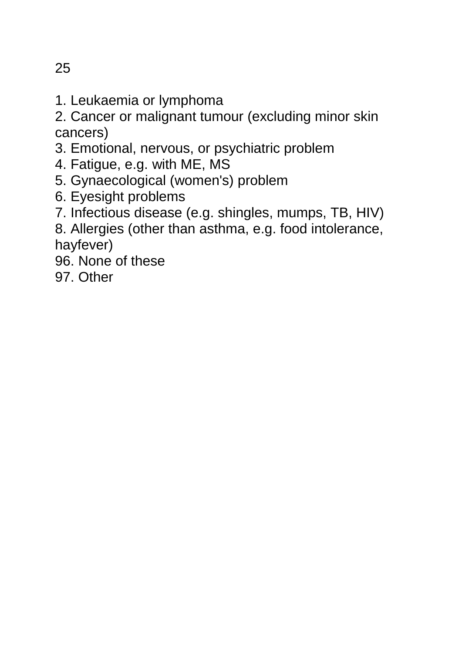1. Leukaemia or lymphoma

2. Cancer or malignant tumour (excluding minor skin cancers)

- 3. Emotional, nervous, or psychiatric problem
- 4. Fatigue, e.g. with ME, MS
- 5. Gynaecological (women's) problem
- 6. Eyesight problems
- 7. Infectious disease (e.g. shingles, mumps, TB, HIV)
- 8. Allergies (other than asthma, e.g. food intolerance, hayfever)
- 96. None of these
- 97. Other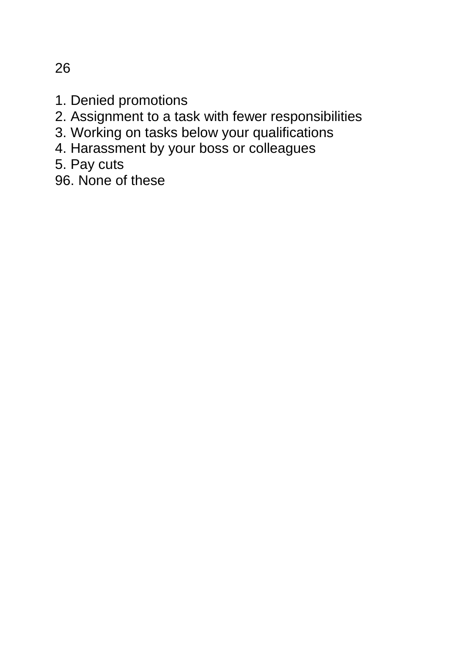- 1. Denied promotions
- 2. Assignment to a task with fewer responsibilities
- 3. Working on tasks below your qualifications
- 4. Harassment by your boss or colleagues
- 5. Pay cuts
- 96. None of these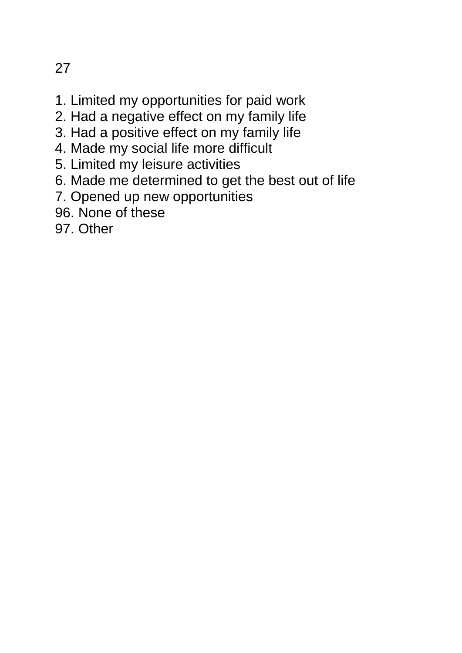- 1. Limited my opportunities for paid work
- 2. Had a negative effect on my family life
- 3. Had a positive effect on my family life
- 4. Made my social life more difficult
- 5. Limited my leisure activities
- 6. Made me determined to get the best out of life
- 7. Opened up new opportunities
- 96. None of these
- 97. Other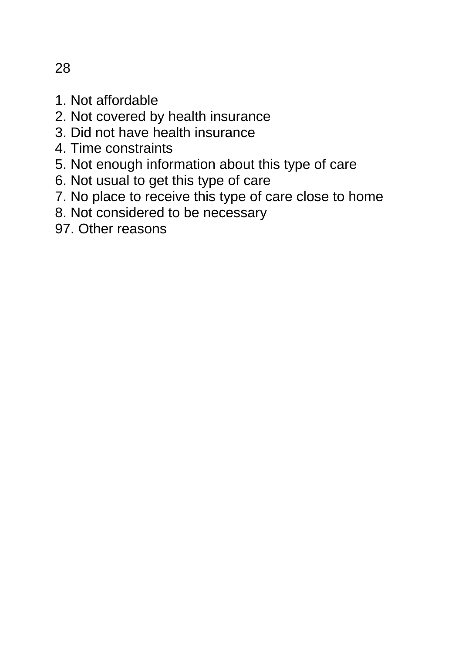- 1. Not affordable
- 2. Not covered by health insurance
- 3. Did not have health insurance
- 4. Time constraints
- 5. Not enough information about this type of care
- 6. Not usual to get this type of care
- 7. No place to receive this type of care close to home
- 8. Not considered to be necessary
- 97. Other reasons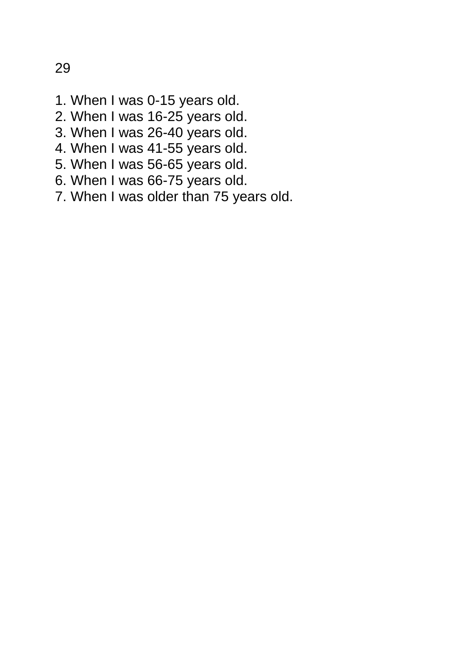- 1. When I was 0-15 years old.
- 2. When I was 16-25 years old.
- 3. When I was 26-40 years old.
- 4. When I was 41-55 years old.
- 5. When I was 56-65 years old.
- 6. When I was 66-75 years old.
- 7. When I was older than 75 years old.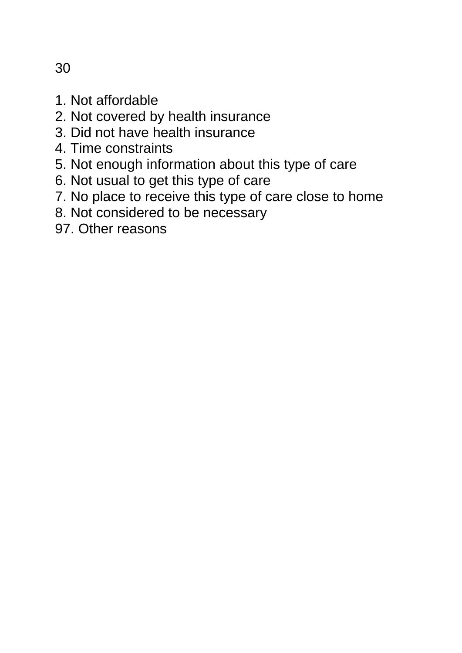1. Not affordable

- 2. Not covered by health insurance
- 3. Did not have health insurance
- 4. Time constraints
- 5. Not enough information about this type of care
- 6. Not usual to get this type of care
- 7. No place to receive this type of care close to home
- 8. Not considered to be necessary
- 97. Other reasons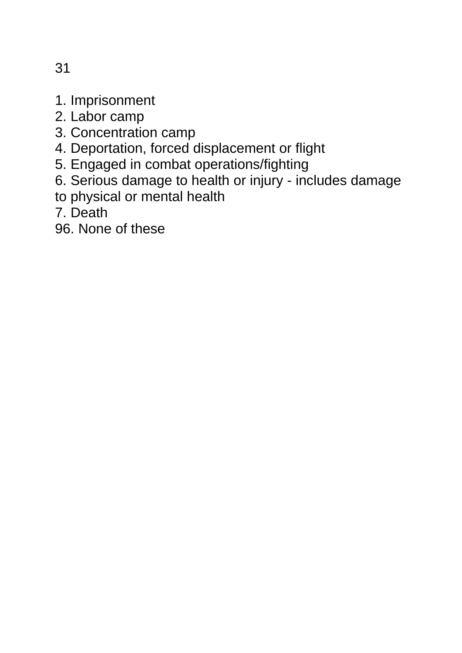- 1. Imprisonment
- 2. Labor camp
- 3. Concentration camp
- 4. Deportation, forced displacement or flight
- 5. Engaged in combat operations/fighting
- 6. Serious damage to health or injury includes damage
- to physical or mental health
- 7. Death
- 96. None of these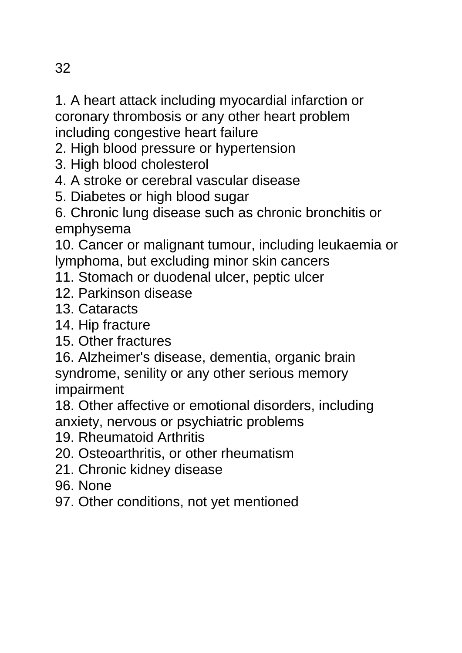1. A heart attack including myocardial infarction or coronary thrombosis or any other heart problem including congestive heart failure

- 2. High blood pressure or hypertension
- 3. High blood cholesterol
- 4. A stroke or cerebral vascular disease
- 5. Diabetes or high blood sugar
- 6. Chronic lung disease such as chronic bronchitis or emphysema

10. Cancer or malignant tumour, including leukaemia or lymphoma, but excluding minor skin cancers

- 11. Stomach or duodenal ulcer, peptic ulcer
- 12. Parkinson disease
- 13. Cataracts
- 14. Hip fracture
- 15. Other fractures
- 16. Alzheimer's disease, dementia, organic brain syndrome, senility or any other serious memory impairment

18. Other affective or emotional disorders, including anxiety, nervous or psychiatric problems

- 19. Rheumatoid Arthritis
- 20. Osteoarthritis, or other rheumatism
- 21. Chronic kidney disease
- 96. None
- 97. Other conditions, not yet mentioned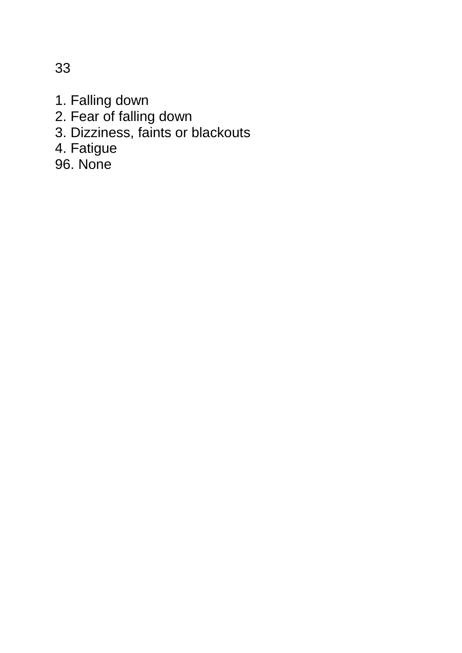1. Falling down

- 2. Fear of falling down
- 3. Dizziness, faints or blackouts
- 4. Fatigue

96. None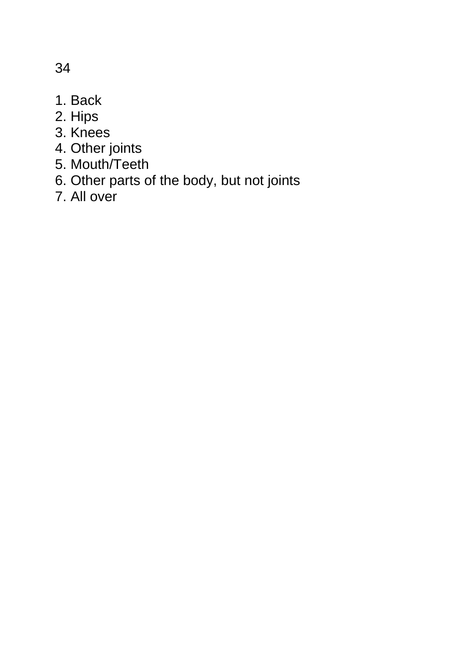- 1. Back
- 2. Hips
- 3. Knees
- 4. Other joints
- 5. Mouth/Teeth
- 6. Other parts of the body, but not joints
- 7. All over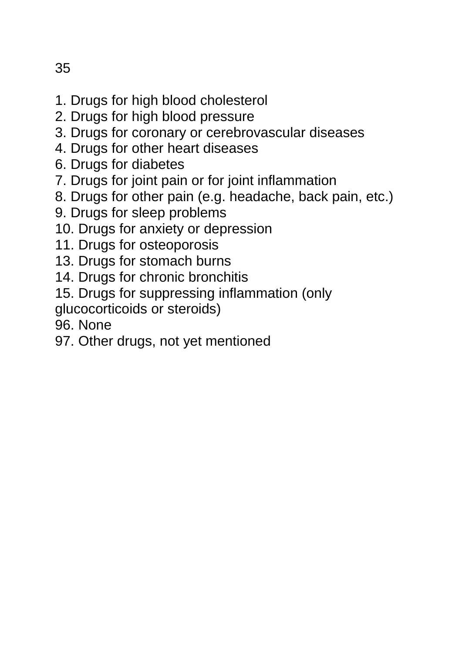- 1. Drugs for high blood cholesterol
- 2. Drugs for high blood pressure
- 3. Drugs for coronary or cerebrovascular diseases
- 4. Drugs for other heart diseases
- 6. Drugs for diabetes
- 7. Drugs for joint pain or for joint inflammation
- 8. Drugs for other pain (e.g. headache, back pain, etc.)
- 9. Drugs for sleep problems
- 10. Drugs for anxiety or depression
- 11. Drugs for osteoporosis
- 13. Drugs for stomach burns
- 14. Drugs for chronic bronchitis
- 15. Drugs for suppressing inflammation (only
- glucocorticoids or steroids)
- 96. None
- 97. Other drugs, not yet mentioned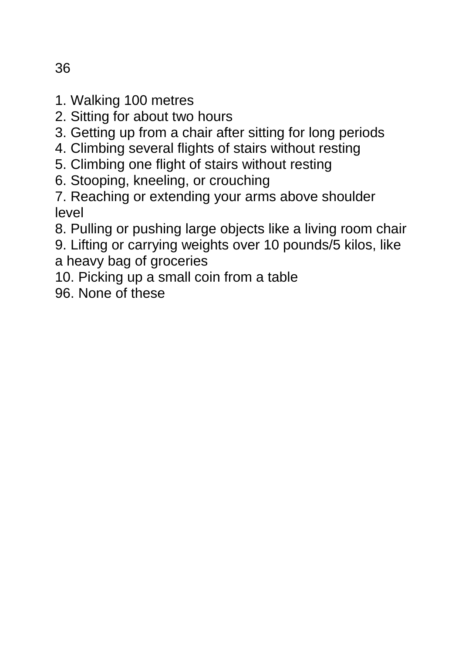- 1. Walking 100 metres
- 2. Sitting for about two hours
- 3. Getting up from a chair after sitting for long periods
- 4. Climbing several flights of stairs without resting
- 5. Climbing one flight of stairs without resting
- 6. Stooping, kneeling, or crouching
- 7. Reaching or extending your arms above shoulder level
- 8. Pulling or pushing large objects like a living room chair
- 9. Lifting or carrying weights over 10 pounds/5 kilos, like a heavy bag of groceries
- 10. Picking up a small coin from a table
- 96. None of these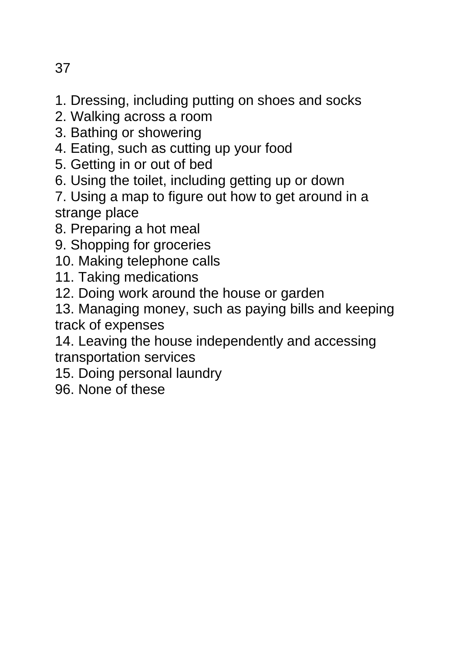- 1. Dressing, including putting on shoes and socks
- 2. Walking across a room
- 3. Bathing or showering
- 4. Eating, such as cutting up your food
- 5. Getting in or out of bed
- 6. Using the toilet, including getting up or down
- 7. Using a map to figure out how to get around in a strange place
- 8. Preparing a hot meal
- 9. Shopping for groceries
- 10. Making telephone calls
- 11. Taking medications
- 12. Doing work around the house or garden
- 13. Managing money, such as paying bills and keeping track of expenses

14. Leaving the house independently and accessing transportation services

- 15. Doing personal laundry
- 96. None of these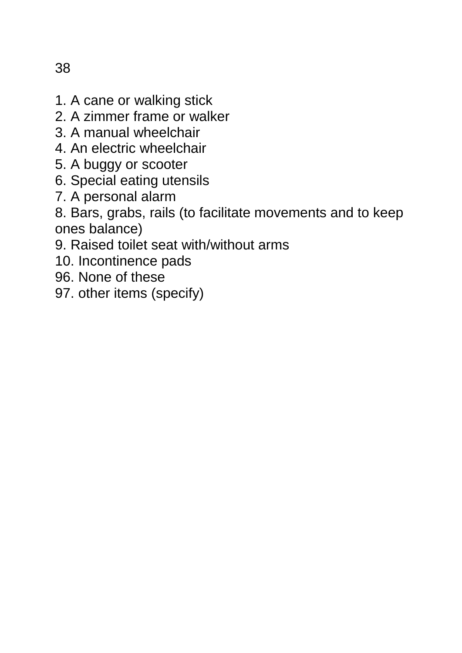- 1. A cane or walking stick
- 2. A zimmer frame or walker
- 3. A manual wheelchair
- 4. An electric wheelchair
- 5. A buggy or scooter
- 6. Special eating utensils
- 7. A personal alarm
- 8. Bars, grabs, rails (to facilitate movements and to keep ones balance)
- 9. Raised toilet seat with/without arms
- 10. Incontinence pads
- 96. None of these
- 97. other items (specify)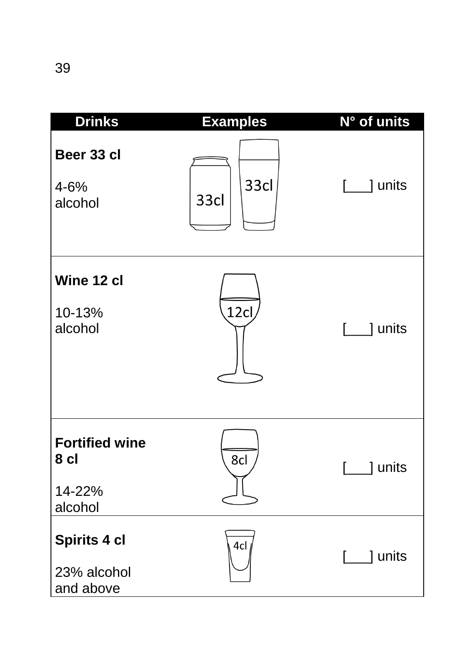| <b>Drinks</b>                                      | <b>Examples</b>  | N° of units |
|----------------------------------------------------|------------------|-------------|
| Beer 33 cl<br>$4 - 6%$<br>alcohol                  | 33cl<br>33cl     | ] units     |
| Wine 12 cl<br>10-13%<br>alcohol                    | 12 <sub>cl</sub> | ] units     |
| <b>Fortified wine</b><br>8 cl<br>14-22%<br>alcohol | 8cl              | units       |
| Spirits 4 cl<br>23% alcohol<br>and above           | 4cl              | ] units     |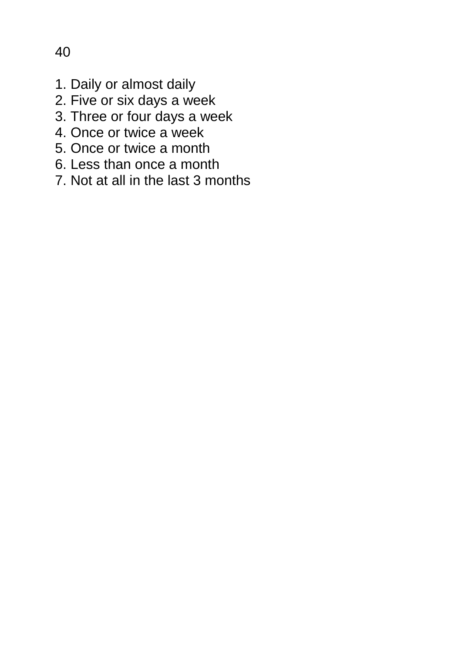- 1. Daily or almost daily
- 2. Five or six days a week
- 3. Three or four days a week
- 4. Once or twice a week
- 5. Once or twice a month
- 6. Less than once a month
- 7. Not at all in the last 3 months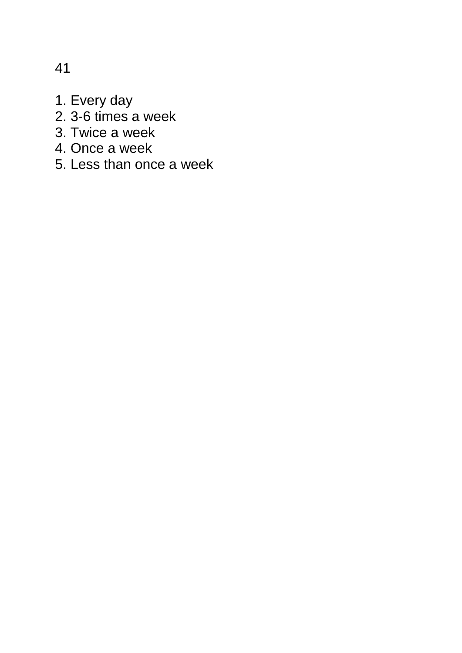- 1. Every day
- 2. 3-6 times a week
- 3. Twice a week
- 4. Once a week
- 5. Less than once a week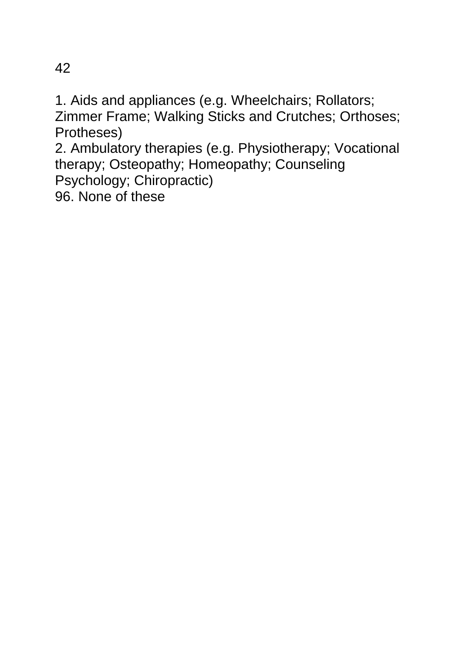1. Aids and appliances (e.g. Wheelchairs; Rollators; Zimmer Frame; Walking Sticks and Crutches; Orthoses; Protheses)

2. Ambulatory therapies (e.g. Physiotherapy; Vocational therapy; Osteopathy; Homeopathy; Counseling Psychology; Chiropractic)

96. None of these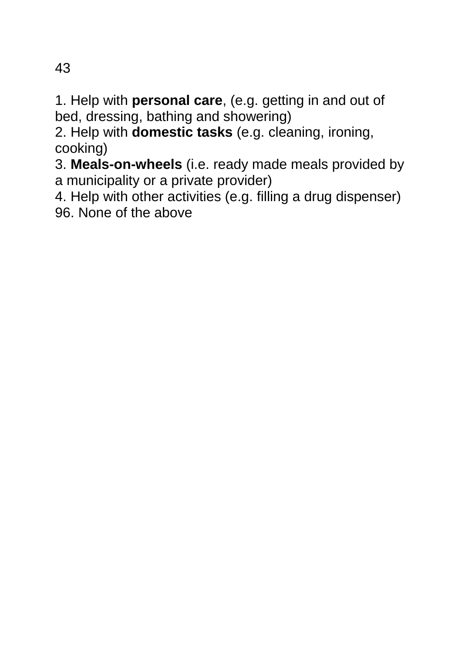1. Help with **personal care**, (e.g. getting in and out of bed, dressing, bathing and showering)

2. Help with **domestic tasks** (e.g. cleaning, ironing, cooking)

3. **Meals-on-wheels** (i.e. ready made meals provided by a municipality or a private provider)

4. Help with other activities (e.g. filling a drug dispenser) 96. None of the above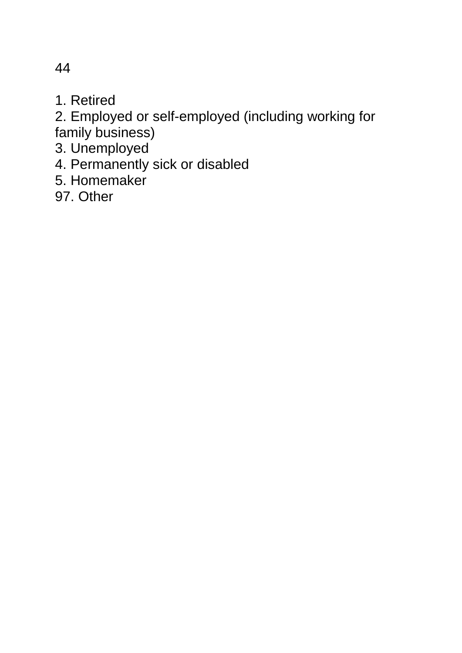1. Retired

2. Employed or self-employed (including working for family business)

3. Unemployed

4. Permanently sick or disabled

5. Homemaker

97. Other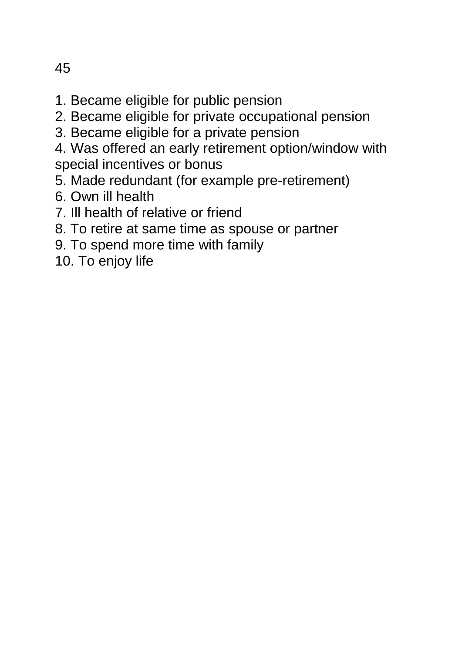- 1. Became eligible for public pension
- 2. Became eligible for private occupational pension
- 3. Became eligible for a private pension
- 4. Was offered an early retirement option/window with special incentives or bonus
- 5. Made redundant (for example pre-retirement)
- 6. Own ill health
- 7. Ill health of relative or friend
- 8. To retire at same time as spouse or partner
- 9. To spend more time with family
- 10. To enjoy life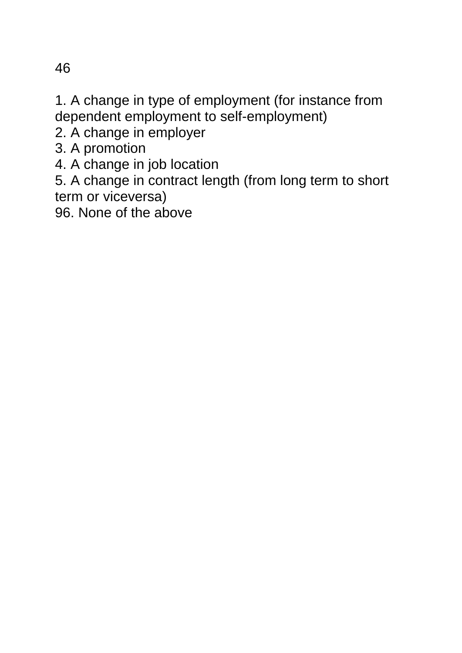1. A change in type of employment (for instance from dependent employment to self-employment)

2. A change in employer

3. A promotion

4. A change in job location

5. A change in contract length (from long term to short term or viceversa)

96. None of the above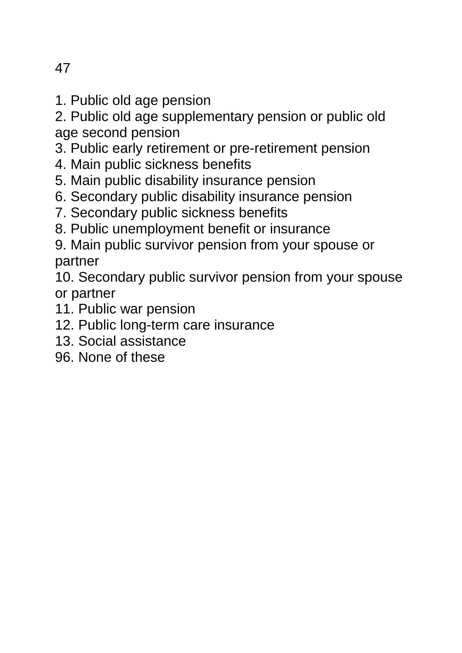1. Public old age pension

2. Public old age supplementary pension or public old age second pension

3. Public early retirement or pre-retirement pension

- 4. Main public sickness benefits
- 5. Main public disability insurance pension
- 6. Secondary public disability insurance pension
- 7. Secondary public sickness benefits
- 8. Public unemployment benefit or insurance
- 9. Main public survivor pension from your spouse or partner

10. Secondary public survivor pension from your spouse or partner

- 11. Public war pension
- 12. Public long-term care insurance
- 13. Social assistance
- 96. None of these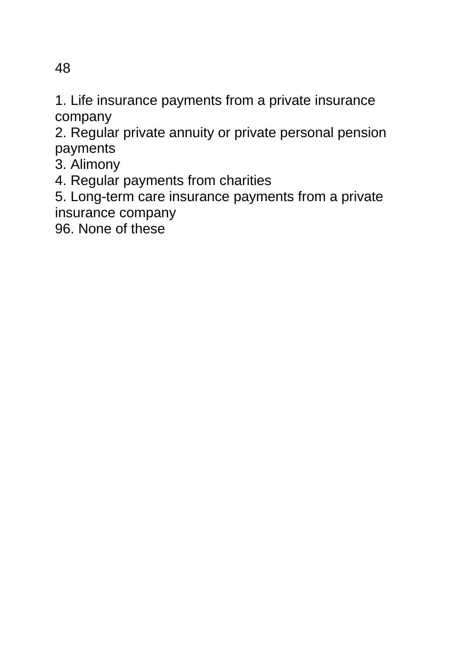1. Life insurance payments from a private insurance company

2. Regular private annuity or private personal pension payments

- 3. Alimony
- 4. Regular payments from charities

5. Long-term care insurance payments from a private insurance company

96. None of these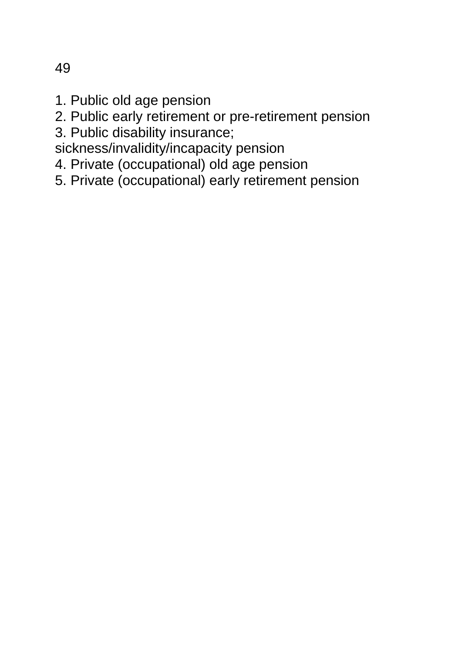- 1. Public old age pension
- 2. Public early retirement or pre-retirement pension
- 3. Public disability insurance;
- sickness/invalidity/incapacity pension
- 4. Private (occupational) old age pension
- 5. Private (occupational) early retirement pension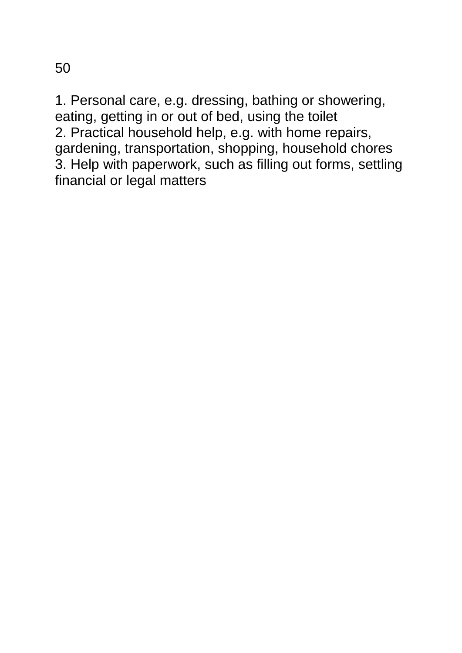1. Personal care, e.g. dressing, bathing or showering, eating, getting in or out of bed, using the toilet 2. Practical household help, e.g. with home repairs, gardening, transportation, shopping, household chores 3. Help with paperwork, such as filling out forms, settling financial or legal matters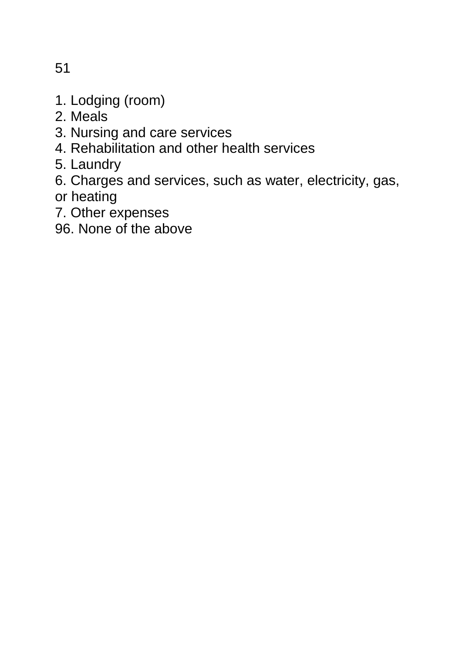- 1. Lodging (room)
- 2. Meals
- 3. Nursing and care services
- 4. Rehabilitation and other health services
- 5. Laundry
- 6. Charges and services, such as water, electricity, gas, or heating
- 7. Other expenses
- 96. None of the above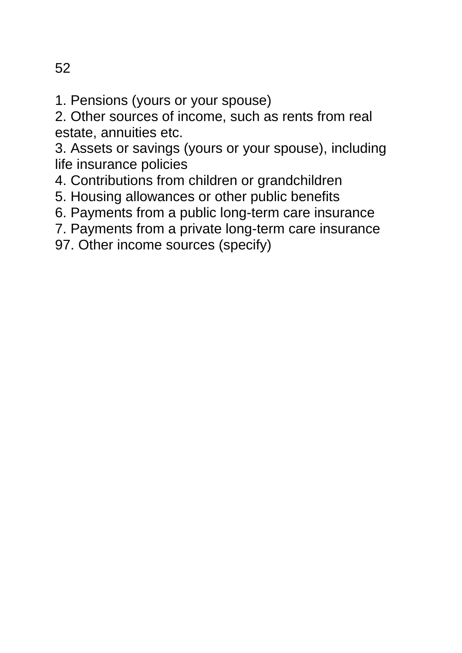1. Pensions (yours or your spouse)

2. Other sources of income, such as rents from real estate, annuities etc.

3. Assets or savings (yours or your spouse), including life insurance policies

- 4. Contributions from children or grandchildren
- 5. Housing allowances or other public benefits
- 6. Payments from a public long-term care insurance
- 7. Payments from a private long-term care insurance
- 97. Other income sources (specify)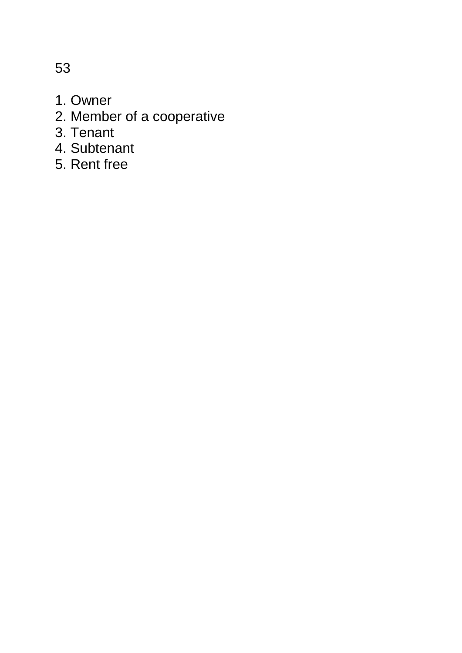1. Owner

- 2. Member of a cooperative
- 3. Tenant
- 4. Subtenant
- 5. Rent free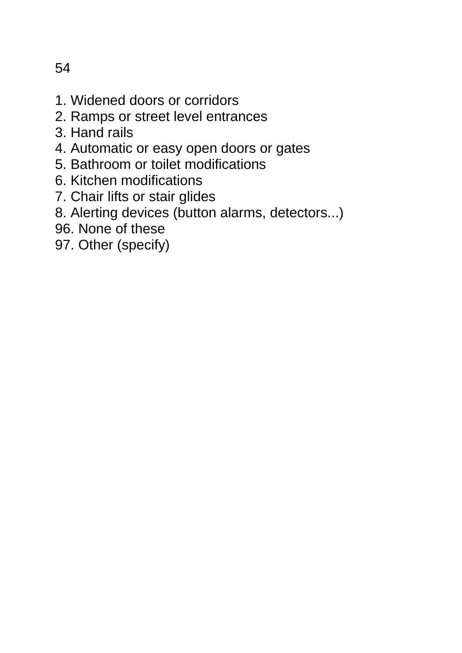- 1. Widened doors or corridors
- 2. Ramps or street level entrances
- 3. Hand rails
- 4. Automatic or easy open doors or gates
- 5. Bathroom or toilet modifications
- 6. Kitchen modifications
- 7. Chair lifts or stair glides
- 8. Alerting devices (button alarms, detectors...)
- 96. None of these
- 97. Other (specify)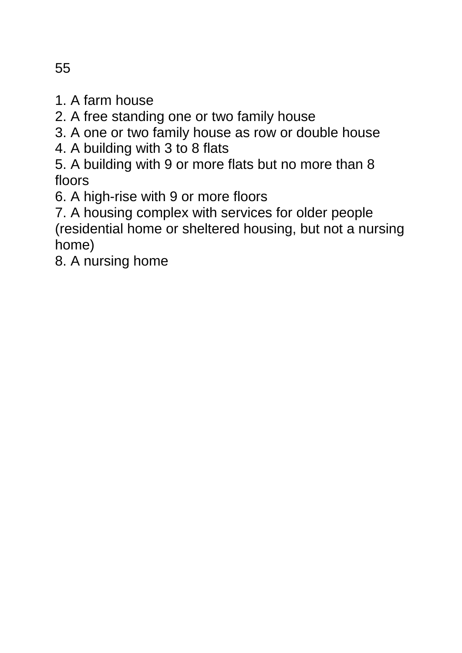- 1. A farm house
- 2. A free standing one or two family house
- 3. A one or two family house as row or double house
- 4. A building with 3 to 8 flats
- 5. A building with 9 or more flats but no more than 8 floors
- 6. A high-rise with 9 or more floors
- 7. A housing complex with services for older people (residential home or sheltered housing, but not a nursing home)
- 8. A nursing home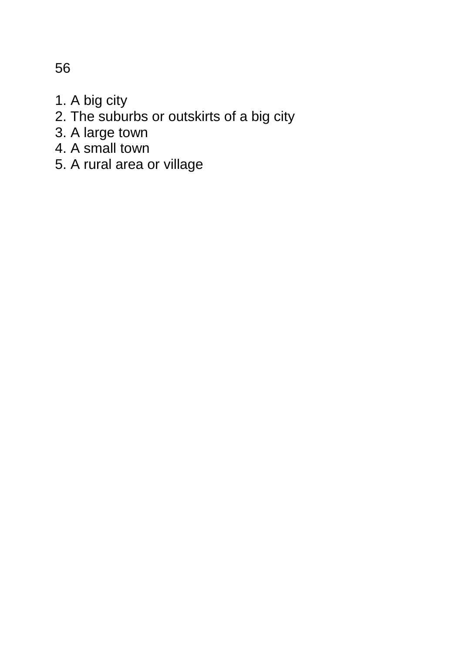1. A big city

- 2. The suburbs or outskirts of a big city
- 3. A large town
- 4. A small town
- 5. A rural area or village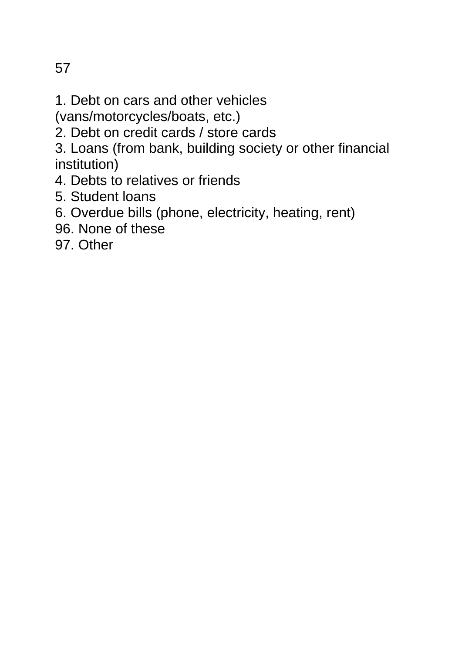- 1. Debt on cars and other vehicles
- (vans/motorcycles/boats, etc.)
- 2. Debt on credit cards / store cards
- 3. Loans (from bank, building society or other financial institution)
- 4. Debts to relatives or friends
- 5. Student loans
- 6. Overdue bills (phone, electricity, heating, rent)
- 96. None of these
- 97. Other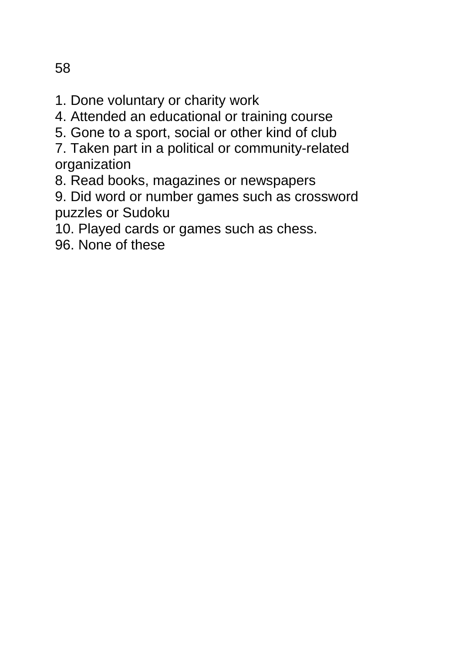- 4. Attended an educational or training course
- 5. Gone to a sport, social or other kind of club
- 7. Taken part in a political or community-related organization
- 8. Read books, magazines or newspapers
- 9. Did word or number games such as crossword puzzles or Sudoku
- 10. Played cards or games such as chess.
- 96. None of these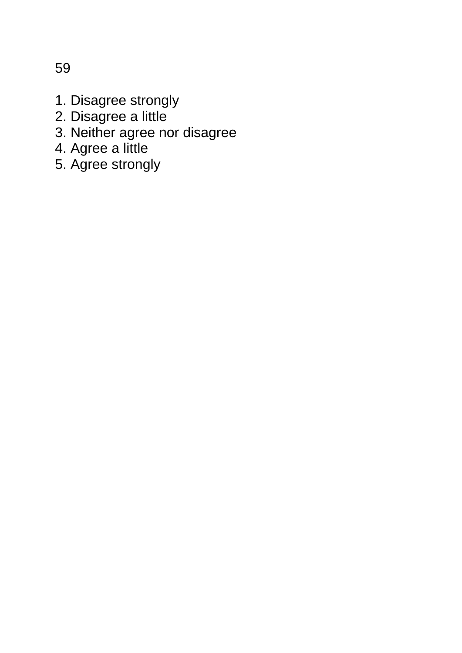1. Disagree strongly

- 2. Disagree a little
- 3. Neither agree nor disagree
- 4. Agree a little
- 5. Agree strongly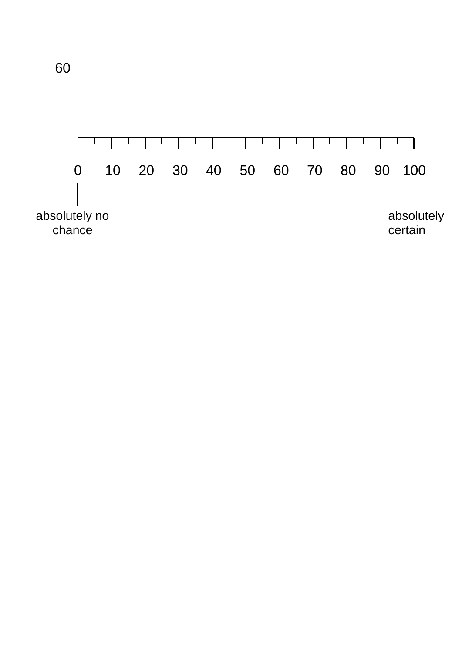